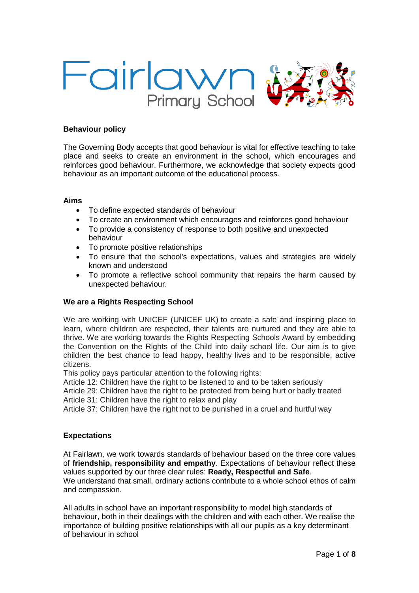

## **Behaviour policy**

The Governing Body accepts that good behaviour is vital for effective teaching to take place and seeks to create an environment in the school, which encourages and reinforces good behaviour. Furthermore, we acknowledge that society expects good behaviour as an important outcome of the educational process.

#### **Aims**

- To define expected standards of behaviour
- To create an environment which encourages and reinforces good behaviour
- To provide a consistency of response to both positive and unexpected behaviour
- To promote positive relationships
- To ensure that the school's expectations, values and strategies are widely known and understood
- To promote a reflective school community that repairs the harm caused by unexpected behaviour.

#### **We are a Rights Respecting School**

We are working with UNICEF (UNICEF UK) to create a safe and inspiring place to learn, where children are respected, their talents are nurtured and they are able to thrive. We are working towards the Rights Respecting Schools Award by embedding the Convention on the Rights of the Child into daily school life. Our aim is to give children the best chance to lead happy, healthy lives and to be responsible, active citizens.

This policy pays particular attention to the following rights:

Article 12: Children have the right to be listened to and to be taken seriously

Article 29: Children have the right to be protected from being hurt or badly treated Article 31: Children have the right to relax and play

Article 37: Children have the right not to be punished in a cruel and hurtful way

#### **Expectations**

At Fairlawn, we work towards standards of behaviour based on the three core values of **friendship, responsibility and empathy**. Expectations of behaviour reflect these values supported by our three clear rules: **Ready, Respectful and Safe**. We understand that small, ordinary actions contribute to a whole school ethos of calm and compassion.

All adults in school have an important responsibility to model high standards of behaviour, both in their dealings with the children and with each other. We realise the importance of building positive relationships with all our pupils as a key determinant of behaviour in school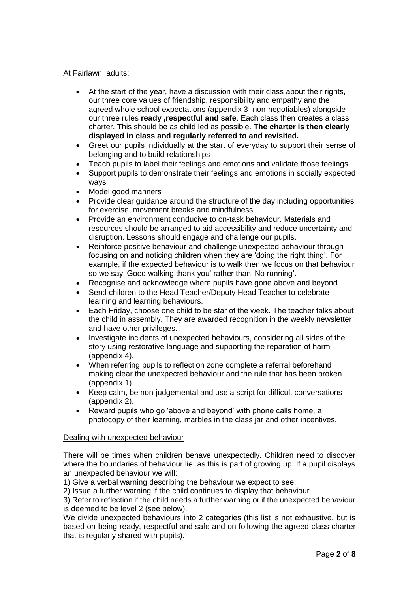At Fairlawn, adults:

- At the start of the year, have a discussion with their class about their rights, our three core values of friendship, responsibility and empathy and the agreed whole school expectations (appendix 3- non-negotiables) alongside our three rules **ready ,respectful and safe**. Each class then creates a class charter. This should be as child led as possible. **The charter is then clearly displayed in class and regularly referred to and revisited.**
- Greet our pupils individually at the start of everyday to support their sense of belonging and to build relationships
- Teach pupils to label their feelings and emotions and validate those feelings
- Support pupils to demonstrate their feelings and emotions in socially expected ways
- Model good manners
- Provide clear guidance around the structure of the day including opportunities for exercise, movement breaks and mindfulness.
- Provide an environment conducive to on-task behaviour. Materials and resources should be arranged to aid accessibility and reduce uncertainty and disruption. Lessons should engage and challenge our pupils.
- Reinforce positive behaviour and challenge unexpected behaviour through focusing on and noticing children when they are 'doing the right thing'. For example, if the expected behaviour is to walk then we focus on that behaviour so we say 'Good walking thank you' rather than 'No running'.
- Recognise and acknowledge where pupils have gone above and beyond
- Send children to the Head Teacher/Deputy Head Teacher to celebrate learning and learning behaviours.
- Each Friday, choose one child to be star of the week. The teacher talks about the child in assembly. They are awarded recognition in the weekly newsletter and have other privileges.
- Investigate incidents of unexpected behaviours, considering all sides of the story using restorative language and supporting the reparation of harm (appendix 4).
- When referring pupils to reflection zone complete a referral beforehand making clear the unexpected behaviour and the rule that has been broken (appendix 1).
- Keep calm, be non-judgemental and use a script for difficult conversations (appendix 2).
- Reward pupils who go 'above and beyond' with phone calls home, a photocopy of their learning, marbles in the class jar and other incentives.

## Dealing with unexpected behaviour

There will be times when children behave unexpectedly. Children need to discover where the boundaries of behaviour lie, as this is part of growing up. If a pupil displays an unexpected behaviour we will:

1) Give a verbal warning describing the behaviour we expect to see.

2) Issue a further warning if the child continues to display that behaviour

3) Refer to reflection if the child needs a further warning or if the unexpected behaviour is deemed to be level 2 (see below).

We divide unexpected behaviours into 2 categories (this list is not exhaustive, but is based on being ready, respectful and safe and on following the agreed class charter that is regularly shared with pupils).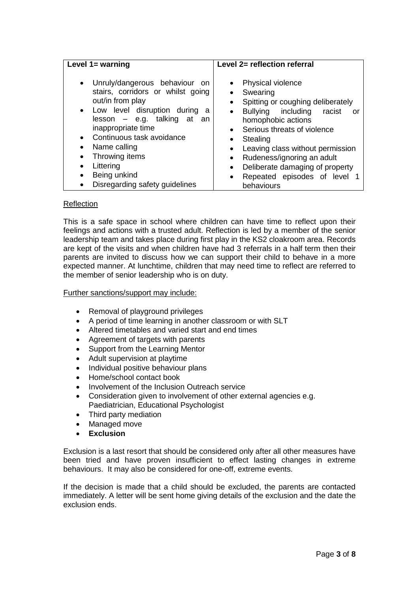| Level $1 =$ warning                                                                                                                                                                                                                                                                                      | Level 2= reflection referral                                                                                                                                                                                                                                                                                                                |
|----------------------------------------------------------------------------------------------------------------------------------------------------------------------------------------------------------------------------------------------------------------------------------------------------------|---------------------------------------------------------------------------------------------------------------------------------------------------------------------------------------------------------------------------------------------------------------------------------------------------------------------------------------------|
| • Unruly/dangerous behaviour on<br>stairs, corridors or whilst going<br>out/in from play<br>• Low level disruption during a<br>lesson – e.g. talking at an<br>inappropriate time<br>Continuous task avoidance<br>$\bullet$<br>Name calling<br>$\bullet$<br>Throwing items<br>٠<br>Littering<br>$\bullet$ | Physical violence<br>$\bullet$<br>Swearing<br>$\bullet$<br>Spitting or coughing deliberately<br>$\bullet$<br>Bullying including<br>racist<br>or<br>$\bullet$<br>homophobic actions<br>Serious threats of violence<br>$\bullet$<br>Stealing<br>٠<br>Leaving class without permission<br>$\bullet$<br>Rudeness/ignoring an adult<br>$\bullet$ |
| Being unkind<br>٠                                                                                                                                                                                                                                                                                        | Deliberate damaging of property<br>$\bullet$<br>Repeated episodes of level 1<br>$\bullet$                                                                                                                                                                                                                                                   |
| Disregarding safety guidelines<br>٠                                                                                                                                                                                                                                                                      | behaviours                                                                                                                                                                                                                                                                                                                                  |

## Reflection

This is a safe space in school where children can have time to reflect upon their feelings and actions with a trusted adult. Reflection is led by a member of the senior leadership team and takes place during first play in the KS2 cloakroom area. Records are kept of the visits and when children have had 3 referrals in a half term then their parents are invited to discuss how we can support their child to behave in a more expected manner. At lunchtime, children that may need time to reflect are referred to the member of senior leadership who is on duty.

## Further sanctions/support may include:

- Removal of playground privileges
- A period of time learning in another classroom or with SLT
- Altered timetables and varied start and end times
- Agreement of targets with parents
- Support from the Learning Mentor
- Adult supervision at playtime
- Individual positive behaviour plans
- Home/school contact book
- Involvement of the Inclusion Outreach service
- Consideration given to involvement of other external agencies e.g. Paediatrician, Educational Psychologist
- Third party mediation
- Managed move
- **Exclusion**

Exclusion is a last resort that should be considered only after all other measures have been tried and have proven insufficient to effect lasting changes in extreme behaviours. It may also be considered for one-off, extreme events.

If the decision is made that a child should be excluded, the parents are contacted immediately. A letter will be sent home giving details of the exclusion and the date the exclusion ends.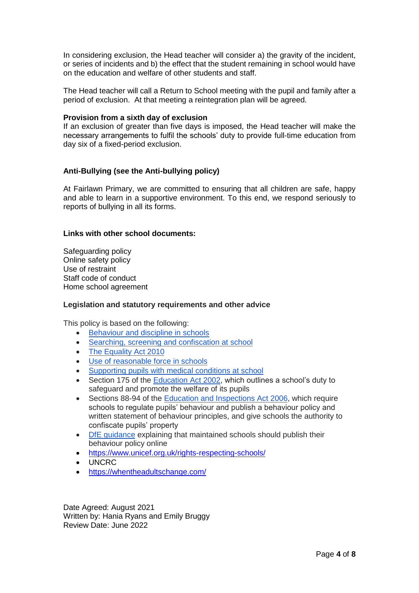In considering exclusion, the Head teacher will consider a) the gravity of the incident, or series of incidents and b) the effect that the student remaining in school would have on the education and welfare of other students and staff.

The Head teacher will call a Return to School meeting with the pupil and family after a period of exclusion. At that meeting a reintegration plan will be agreed.

#### **Provision from a sixth day of exclusion**

If an exclusion of greater than five days is imposed, the Head teacher will make the necessary arrangements to fulfil the schools' duty to provide full-time education from day six of a fixed-period exclusion.

## **Anti-Bullying (see the Anti-bullying policy)**

At Fairlawn Primary, we are committed to ensuring that all children are safe, happy and able to learn in a supportive environment. To this end, we respond seriously to reports of bullying in all its forms.

### **Links with other school documents:**

Safeguarding policy Online safety policy Use of restraint Staff code of conduct Home school agreement

#### **Legislation and statutory requirements and other advice**

This policy is based on the following:

- [Behaviour and discipline in schools](https://www.gov.uk/government/publications/behaviour-and-discipline-in-schools)
- [Searching, screening and confiscation at school](https://www.gov.uk/government/publications/searching-screening-and-confiscation)
- [The Equality Act 2010](https://www.gov.uk/government/publications/equality-act-2010-advice-for-schools)
- [Use of reasonable force in schools](https://www.gov.uk/government/publications/use-of-reasonable-force-in-schools)
- [Supporting pupils with medical conditions at school](https://www.gov.uk/government/publications/supporting-pupils-at-school-with-medical-conditions--3)
- Section 175 of the **Education Act 2002**, which outlines a school's duty to safeguard and promote the welfare of its pupils
- Sections 88-94 of the [Education and Inspections Act 2006,](http://www.legislation.gov.uk/ukpga/2006/40/section/88) which require schools to regulate pupils' behaviour and publish a behaviour policy and written statement of behaviour principles, and give schools the authority to confiscate pupils' property
- [DfE guidance](https://www.gov.uk/guidance/what-maintained-schools-must-publish-online#behaviour-policy) explaining that maintained schools should publish their behaviour policy online
- <https://www.unicef.org.uk/rights-respecting-schools/>
- UNCRC
- <https://whentheadultschange.com/>

Date Agreed: August 2021 Written by: Hania Ryans and Emily Bruggy Review Date: June 2022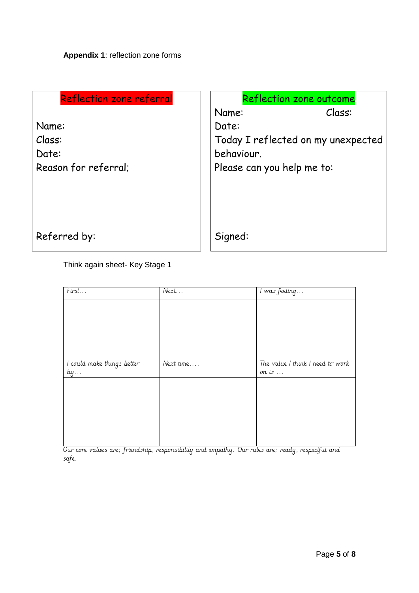| <b>Reflection zone referral</b> | Reflection zone outcome            |
|---------------------------------|------------------------------------|
|                                 | Class:<br>Name:                    |
| Name:                           | Date:                              |
| Class:                          | Today I reflected on my unexpected |
| Date:                           | behaviour.                         |
| Reason for referral;            | Please can you help me to:         |
|                                 |                                    |
|                                 |                                    |
|                                 |                                    |
|                                 |                                    |
| Referred by:                    | Signed:                            |
|                                 |                                    |

Think again sheet- Key Stage 1

| First                      | Next      | I was feeling                    |
|----------------------------|-----------|----------------------------------|
|                            |           |                                  |
|                            |           |                                  |
|                            |           |                                  |
|                            |           |                                  |
|                            |           |                                  |
| I could make things better | Next time | The value I think I need to work |
| by                         |           | on is $\ldots$                   |
|                            |           |                                  |
|                            |           |                                  |
|                            |           |                                  |
|                            |           |                                  |
|                            |           |                                  |
|                            |           |                                  |

Our core values are; friendship, responsibility and empathy. Our rules are; ready, respectful and safe.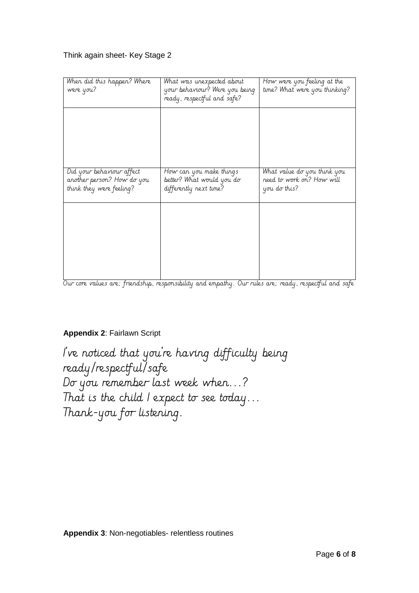## Think again sheet- Key Stage 2

| When did this happen? Where<br>were you?                                            | What was unexpected about<br>your behaviour? Were you being<br>ready, respectful and safe? | How were you feeling at the<br>time? What were you thinking?             |
|-------------------------------------------------------------------------------------|--------------------------------------------------------------------------------------------|--------------------------------------------------------------------------|
|                                                                                     |                                                                                            |                                                                          |
|                                                                                     |                                                                                            |                                                                          |
| Did your behaviour affect<br>another person? How do you<br>think they were feeling? | How can you make things<br>better? What would you do<br>differently next time?             | What value do you think you<br>need to work on? How will<br>you do this? |
|                                                                                     |                                                                                            |                                                                          |
|                                                                                     |                                                                                            |                                                                          |
|                                                                                     |                                                                                            |                                                                          |

Our core values are; friendship, responsibility and empathy. Our rules are; ready, respectful and safe

# **Appendix 2**: Fairlawn Script

I've noticed that you're having difficulty being ready/respectful/safe Do you remember last week when...? That is the child I expect to see today... Thank-you for listening.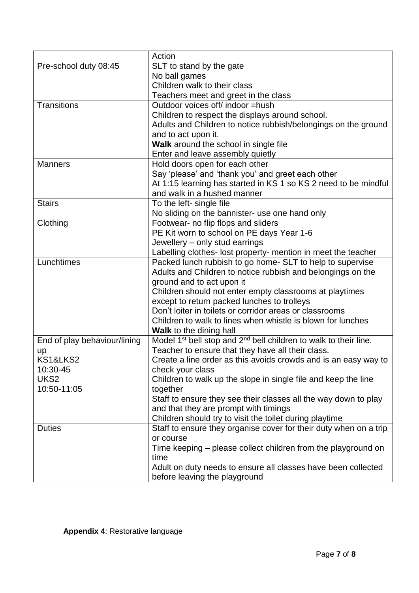|                              | Action                                                                                   |
|------------------------------|------------------------------------------------------------------------------------------|
| Pre-school duty 08:45        | SLT to stand by the gate                                                                 |
|                              | No ball games                                                                            |
|                              | Children walk to their class                                                             |
|                              | Teachers meet and greet in the class                                                     |
| <b>Transitions</b>           | Outdoor voices off/ indoor =hush                                                         |
|                              | Children to respect the displays around school.                                          |
|                              | Adults and Children to notice rubbish/belongings on the ground                           |
|                              | and to act upon it.                                                                      |
|                              | Walk around the school in single file                                                    |
|                              | Enter and leave assembly quietly                                                         |
| <b>Manners</b>               | Hold doors open for each other                                                           |
|                              | Say 'please' and 'thank you' and greet each other                                        |
|                              | At 1:15 learning has started in KS 1 so KS 2 need to be mindful                          |
|                              | and walk in a hushed manner                                                              |
| <b>Stairs</b>                | To the left- single file                                                                 |
|                              | No sliding on the bannister- use one hand only                                           |
| Clothing                     | Footwear- no flip flops and sliders                                                      |
|                              | PE Kit worn to school on PE days Year 1-6                                                |
|                              | Jewellery - only stud earrings                                                           |
|                              | Labelling clothes- lost property- mention in meet the teacher                            |
| Lunchtimes                   | Packed lunch rubbish to go home- SLT to help to supervise                                |
|                              | Adults and Children to notice rubbish and belongings on the                              |
|                              | ground and to act upon it                                                                |
|                              | Children should not enter empty classrooms at playtimes                                  |
|                              | except to return packed lunches to trolleys                                              |
|                              | Don't loiter in toilets or corridor areas or classrooms                                  |
|                              | Children to walk to lines when whistle is blown for lunches                              |
|                              | <b>Walk</b> to the dining hall                                                           |
| End of play behaviour/lining | Model 1 <sup>st</sup> bell stop and 2 <sup>nd</sup> bell children to walk to their line. |
| up<br><b>KS1&amp;LKS2</b>    | Teacher to ensure that they have all their class.                                        |
| 10:30-45                     | Create a line order as this avoids crowds and is an easy way to                          |
| UKS <sub>2</sub>             | check your class<br>Children to walk up the slope in single file and keep the line       |
| 10:50-11:05                  | together                                                                                 |
|                              | Staff to ensure they see their classes all the way down to play                          |
|                              | and that they are prompt with timings                                                    |
|                              | Children should try to visit the toilet during playtime                                  |
| <b>Duties</b>                | Staff to ensure they organise cover for their duty when on a trip                        |
|                              | or course                                                                                |
|                              | Time keeping – please collect children from the playground on                            |
|                              | time                                                                                     |
|                              | Adult on duty needs to ensure all classes have been collected                            |
|                              | before leaving the playground                                                            |